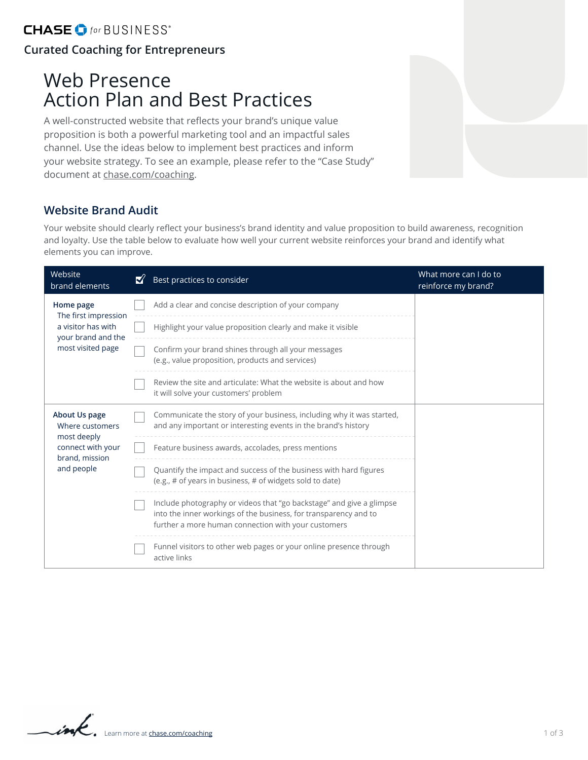# Web Presence Action Plan and Best Practices

A well-constructed website that reflects your brand's unique value proposition is both a powerful marketing tool and an impactful sales channel. Use the ideas below to implement best practices and inform your website strategy. To see an example, please refer to the "Case Study" document at [chase.com/coaching](http://chase.com/coaching).

#### **Website Brand Audit**

Your website should clearly reflect your business's brand identity and value proposition to build awareness, recognition and loyalty. Use the table below to evaluate how well your current website reinforces your brand and identify what elements you can improve.

| Website<br>brand elements                                                                            | Best practices to consider                                                                                                                                                                      | What more can I do to<br>reinforce my brand? |
|------------------------------------------------------------------------------------------------------|-------------------------------------------------------------------------------------------------------------------------------------------------------------------------------------------------|----------------------------------------------|
| Home page<br>The first impression<br>a visitor has with<br>your brand and the<br>most visited page   | Add a clear and concise description of your company                                                                                                                                             |                                              |
|                                                                                                      | Highlight your value proposition clearly and make it visible                                                                                                                                    |                                              |
|                                                                                                      | Confirm your brand shines through all your messages<br>(e.g., value proposition, products and services)                                                                                         |                                              |
|                                                                                                      | Review the site and articulate: What the website is about and how<br>it will solve your customers' problem                                                                                      |                                              |
| About Us page<br>Where customers<br>most deeply<br>connect with your<br>brand, mission<br>and people | Communicate the story of your business, including why it was started,<br>and any important or interesting events in the brand's history                                                         |                                              |
|                                                                                                      | Feature business awards, accolades, press mentions                                                                                                                                              |                                              |
|                                                                                                      | Quantify the impact and success of the business with hard figures<br>(e.g., # of years in business, # of widgets sold to date)                                                                  |                                              |
|                                                                                                      | Include photography or videos that "go backstage" and give a glimpse<br>into the inner workings of the business, for transparency and to<br>further a more human connection with your customers |                                              |
|                                                                                                      | Funnel visitors to other web pages or your online presence through<br>active links                                                                                                              |                                              |

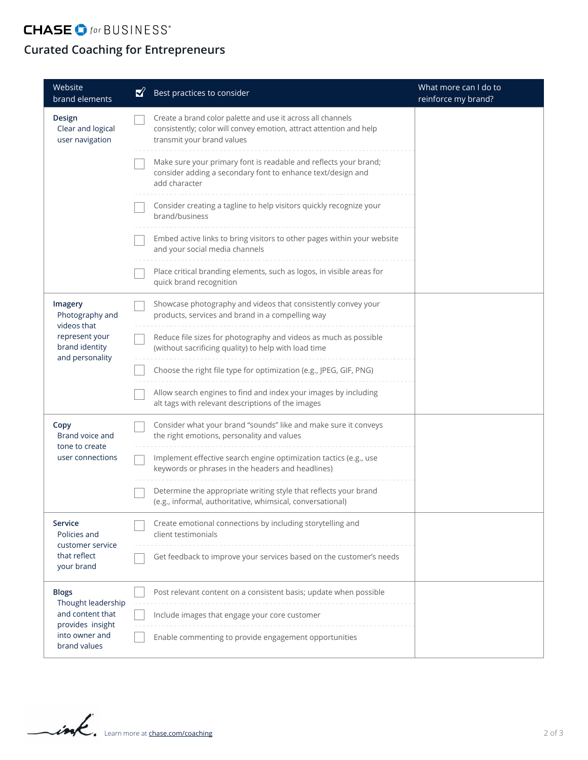## **CHASE**  $\bullet$  for BUSINESS<sup>\*</sup>

### **Curated Coaching for Entrepreneurs**

| Website<br>brand elements                                                                                    | ∛ | Best practices to consider                                                                                                                                       | What more can I do to<br>reinforce my brand? |
|--------------------------------------------------------------------------------------------------------------|---|------------------------------------------------------------------------------------------------------------------------------------------------------------------|----------------------------------------------|
| Design<br>Clear and logical<br>user navigation                                                               |   | Create a brand color palette and use it across all channels<br>consistently; color will convey emotion, attract attention and help<br>transmit your brand values |                                              |
|                                                                                                              |   | Make sure your primary font is readable and reflects your brand;<br>consider adding a secondary font to enhance text/design and<br>add character                 |                                              |
|                                                                                                              |   | Consider creating a tagline to help visitors quickly recognize your<br>brand/business                                                                            |                                              |
|                                                                                                              |   | Embed active links to bring visitors to other pages within your website<br>and your social media channels                                                        |                                              |
|                                                                                                              |   | Place critical branding elements, such as logos, in visible areas for<br>quick brand recognition                                                                 |                                              |
| Imagery<br>Photography and<br>videos that<br>represent your<br>brand identity<br>and personality             |   | Showcase photography and videos that consistently convey your<br>products, services and brand in a compelling way                                                |                                              |
|                                                                                                              |   | Reduce file sizes for photography and videos as much as possible<br>(without sacrificing quality) to help with load time                                         |                                              |
|                                                                                                              |   | Choose the right file type for optimization (e.g., JPEG, GIF, PNG)                                                                                               |                                              |
|                                                                                                              |   | Allow search engines to find and index your images by including<br>alt tags with relevant descriptions of the images                                             |                                              |
| Copy<br>Brand voice and<br>tone to create<br>user connections                                                |   | Consider what your brand "sounds" like and make sure it conveys<br>the right emotions, personality and values                                                    |                                              |
|                                                                                                              |   | Implement effective search engine optimization tactics (e.g., use<br>keywords or phrases in the headers and headlines)                                           |                                              |
|                                                                                                              |   | Determine the appropriate writing style that reflects your brand<br>(e.g., informal, authoritative, whimsical, conversational)                                   |                                              |
| <b>Service</b><br>Policies and<br>customer service<br>that reflect<br>your brand                             |   | Create emotional connections by including storytelling and<br>client testimonials                                                                                |                                              |
|                                                                                                              |   | Get feedback to improve your services based on the customer's needs                                                                                              |                                              |
| <b>Blogs</b><br>Thought leadership<br>and content that<br>provides insight<br>into owner and<br>brand values |   | Post relevant content on a consistent basis; update when possible                                                                                                |                                              |
|                                                                                                              |   | Include images that engage your core customer                                                                                                                    |                                              |
|                                                                                                              |   | Enable commenting to provide engagement opportunities                                                                                                            |                                              |